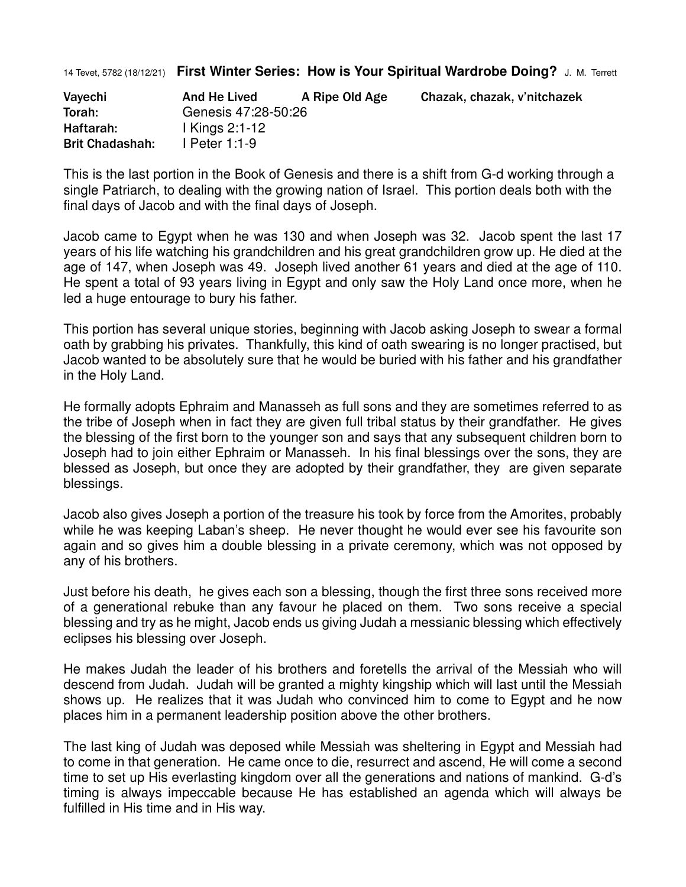14 Tevet, 5782 (18/12/21) **First Winter Series: How is Your Spiritual Wardrobe Doing?** J. M. Terrett

| Vayechi                | And He Lived        | A Ripe Old Age | Chazak, chazak, v'nitchazek |
|------------------------|---------------------|----------------|-----------------------------|
| Torah:                 | Genesis 47:28-50:26 |                |                             |
| Haftarah:              | 1 Kings 2:1-12      |                |                             |
| <b>Brit Chadashah:</b> | I Peter 1:1-9       |                |                             |

This is the last portion in the Book of Genesis and there is a shift from G-d working through a single Patriarch, to dealing with the growing nation of Israel. This portion deals both with the final days of Jacob and with the final days of Joseph.

Jacob came to Egypt when he was 130 and when Joseph was 32. Jacob spent the last 17 years of his life watching his grandchildren and his great grandchildren grow up. He died at the age of 147, when Joseph was 49. Joseph lived another 61 years and died at the age of 110. He spent a total of 93 years living in Egypt and only saw the Holy Land once more, when he led a huge entourage to bury his father.

This portion has several unique stories, beginning with Jacob asking Joseph to swear a formal oath by grabbing his privates. Thankfully, this kind of oath swearing is no longer practised, but Jacob wanted to be absolutely sure that he would be buried with his father and his grandfather in the Holy Land.

He formally adopts Ephraim and Manasseh as full sons and they are sometimes referred to as the tribe of Joseph when in fact they are given full tribal status by their grandfather. He gives the blessing of the first born to the younger son and says that any subsequent children born to Joseph had to join either Ephraim or Manasseh. In his final blessings over the sons, they are blessed as Joseph, but once they are adopted by their grandfather, they are given separate blessings.

Jacob also gives Joseph a portion of the treasure his took by force from the Amorites, probably while he was keeping Laban's sheep. He never thought he would ever see his favourite son again and so gives him a double blessing in a private ceremony, which was not opposed by any of his brothers.

Just before his death, he gives each son a blessing, though the first three sons received more of a generational rebuke than any favour he placed on them. Two sons receive a special blessing and try as he might, Jacob ends us giving Judah a messianic blessing which effectively eclipses his blessing over Joseph.

He makes Judah the leader of his brothers and foretells the arrival of the Messiah who will descend from Judah. Judah will be granted a mighty kingship which will last until the Messiah shows up. He realizes that it was Judah who convinced him to come to Egypt and he now places him in a permanent leadership position above the other brothers.

The last king of Judah was deposed while Messiah was sheltering in Egypt and Messiah had to come in that generation. He came once to die, resurrect and ascend, He will come a second time to set up His everlasting kingdom over all the generations and nations of mankind. G-d's timing is always impeccable because He has established an agenda which will always be fulfilled in His time and in His way.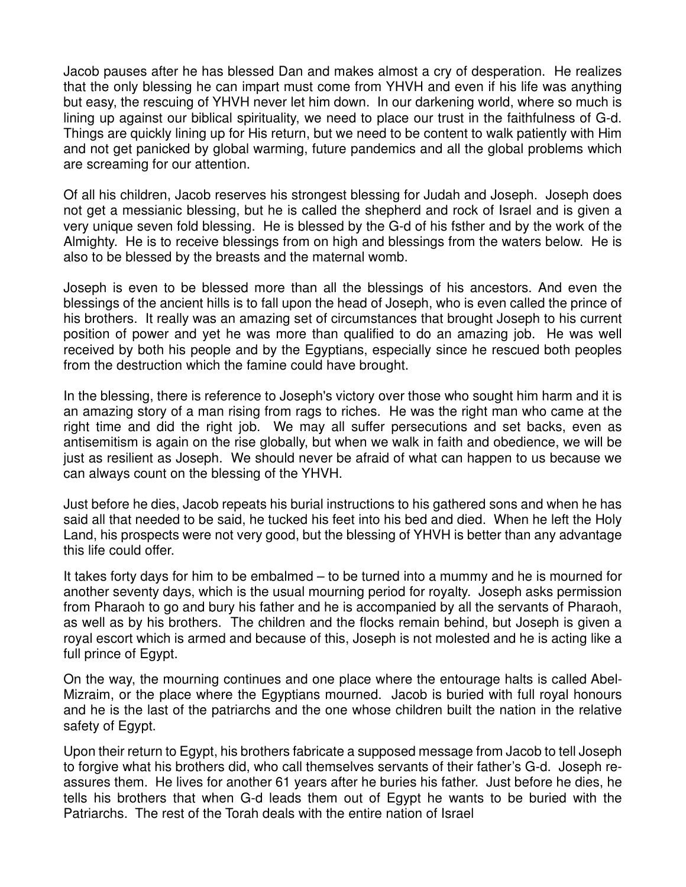Jacob pauses after he has blessed Dan and makes almost a cry of desperation. He realizes that the only blessing he can impart must come from YHVH and even if his life was anything but easy, the rescuing of YHVH never let him down. In our darkening world, where so much is lining up against our biblical spirituality, we need to place our trust in the faithfulness of G-d. Things are quickly lining up for His return, but we need to be content to walk patiently with Him and not get panicked by global warming, future pandemics and all the global problems which are screaming for our attention.

Of all his children, Jacob reserves his strongest blessing for Judah and Joseph. Joseph does not get a messianic blessing, but he is called the shepherd and rock of Israel and is given a very unique seven fold blessing. He is blessed by the G-d of his fsther and by the work of the Almighty. He is to receive blessings from on high and blessings from the waters below. He is also to be blessed by the breasts and the maternal womb.

Joseph is even to be blessed more than all the blessings of his ancestors. And even the blessings of the ancient hills is to fall upon the head of Joseph, who is even called the prince of his brothers. It really was an amazing set of circumstances that brought Joseph to his current position of power and yet he was more than qualified to do an amazing job. He was well received by both his people and by the Egyptians, especially since he rescued both peoples from the destruction which the famine could have brought.

In the blessing, there is reference to Joseph's victory over those who sought him harm and it is an amazing story of a man rising from rags to riches. He was the right man who came at the right time and did the right job. We may all suffer persecutions and set backs, even as antisemitism is again on the rise globally, but when we walk in faith and obedience, we will be just as resilient as Joseph. We should never be afraid of what can happen to us because we can always count on the blessing of the YHVH.

Just before he dies, Jacob repeats his burial instructions to his gathered sons and when he has said all that needed to be said, he tucked his feet into his bed and died. When he left the Holy Land, his prospects were not very good, but the blessing of YHVH is better than any advantage this life could offer.

It takes forty days for him to be embalmed – to be turned into a mummy and he is mourned for another seventy days, which is the usual mourning period for royalty. Joseph asks permission from Pharaoh to go and bury his father and he is accompanied by all the servants of Pharaoh, as well as by his brothers. The children and the flocks remain behind, but Joseph is given a royal escort which is armed and because of this, Joseph is not molested and he is acting like a full prince of Egypt.

On the way, the mourning continues and one place where the entourage halts is called Abel-Mizraim, or the place where the Egyptians mourned. Jacob is buried with full royal honours and he is the last of the patriarchs and the one whose children built the nation in the relative safety of Egypt.

Upon their return to Egypt, his brothers fabricate a supposed message from Jacob to tell Joseph to forgive what his brothers did, who call themselves servants of their father's G-d. Joseph reassures them. He lives for another 61 years after he buries his father. Just before he dies, he tells his brothers that when G-d leads them out of Egypt he wants to be buried with the Patriarchs. The rest of the Torah deals with the entire nation of Israel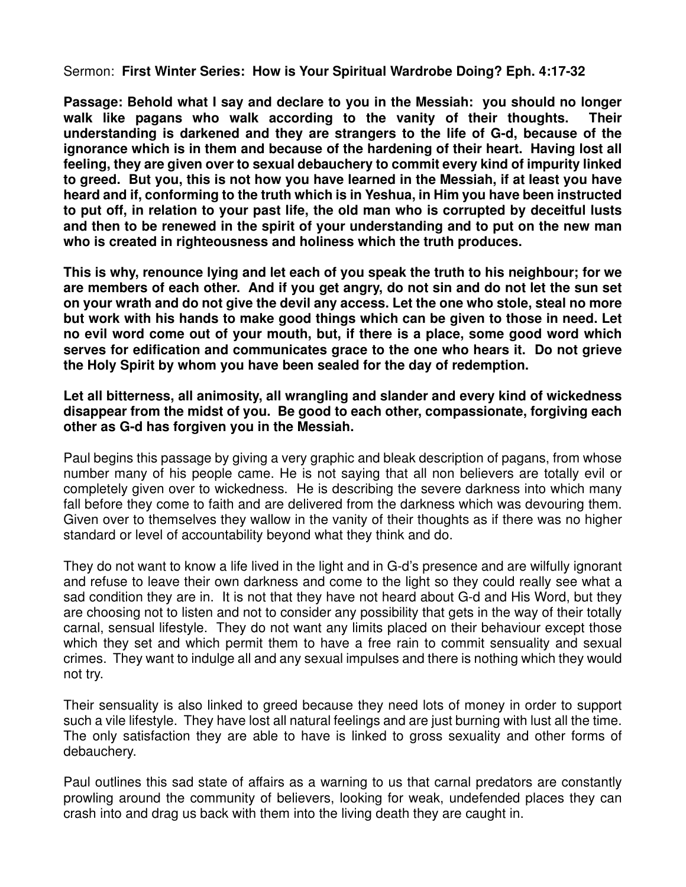Sermon: **First Winter Series: How is Your Spiritual Wardrobe Doing? Eph. 4:17-32**

**Passage: Behold what I say and declare to you in the Messiah: you should no longer walk like pagans who walk according to the vanity of their thoughts. Their understanding is darkened and they are strangers to the life of G-d, because of the ignorance which is in them and because of the hardening of their heart. Having lost all feeling, they are given over to sexual debauchery to commit every kind of impurity linked to greed. But you, this is not how you have learned in the Messiah, if at least you have heard and if, conforming to the truth which is in Yeshua, in Him you have been instructed to put off, in relation to your past life, the old man who is corrupted by deceitful lusts and then to be renewed in the spirit of your understanding and to put on the new man who is created in righteousness and holiness which the truth produces.**

**This is why, renounce lying and let each of you speak the truth to his neighbour; for we are members of each other. And if you get angry, do not sin and do not let the sun set on your wrath and do not give the devil any access. Let the one who stole, steal no more but work with his hands to make good things which can be given to those in need. Let no evil word come out of your mouth, but, if there is a place, some good word which serves for edification and communicates grace to the one who hears it. Do not grieve the Holy Spirit by whom you have been sealed for the day of redemption.** 

**Let all bitterness, all animosity, all wrangling and slander and every kind of wickedness disappear from the midst of you. Be good to each other, compassionate, forgiving each other as G-d has forgiven you in the Messiah.**

Paul begins this passage by giving a very graphic and bleak description of pagans, from whose number many of his people came. He is not saying that all non believers are totally evil or completely given over to wickedness. He is describing the severe darkness into which many fall before they come to faith and are delivered from the darkness which was devouring them. Given over to themselves they wallow in the vanity of their thoughts as if there was no higher standard or level of accountability beyond what they think and do.

They do not want to know a life lived in the light and in G-d's presence and are wilfully ignorant and refuse to leave their own darkness and come to the light so they could really see what a sad condition they are in. It is not that they have not heard about G-d and His Word, but they are choosing not to listen and not to consider any possibility that gets in the way of their totally carnal, sensual lifestyle. They do not want any limits placed on their behaviour except those which they set and which permit them to have a free rain to commit sensuality and sexual crimes. They want to indulge all and any sexual impulses and there is nothing which they would not try.

Their sensuality is also linked to greed because they need lots of money in order to support such a vile lifestyle. They have lost all natural feelings and are just burning with lust all the time. The only satisfaction they are able to have is linked to gross sexuality and other forms of debauchery.

Paul outlines this sad state of affairs as a warning to us that carnal predators are constantly prowling around the community of believers, looking for weak, undefended places they can crash into and drag us back with them into the living death they are caught in.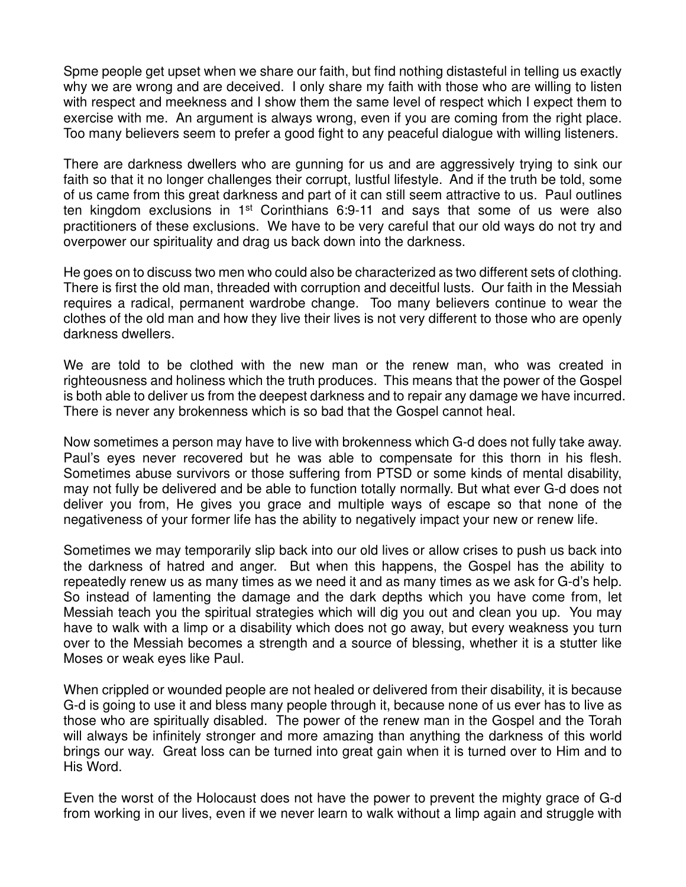Spme people get upset when we share our faith, but find nothing distasteful in telling us exactly why we are wrong and are deceived. I only share my faith with those who are willing to listen with respect and meekness and I show them the same level of respect which I expect them to exercise with me. An argument is always wrong, even if you are coming from the right place. Too many believers seem to prefer a good fight to any peaceful dialogue with willing listeners.

There are darkness dwellers who are gunning for us and are aggressively trying to sink our faith so that it no longer challenges their corrupt, lustful lifestyle. And if the truth be told, some of us came from this great darkness and part of it can still seem attractive to us. Paul outlines ten kingdom exclusions in 1st Corinthians 6:9-11 and says that some of us were also practitioners of these exclusions. We have to be very careful that our old ways do not try and overpower our spirituality and drag us back down into the darkness.

He goes on to discuss two men who could also be characterized as two different sets of clothing. There is first the old man, threaded with corruption and deceitful lusts. Our faith in the Messiah requires a radical, permanent wardrobe change. Too many believers continue to wear the clothes of the old man and how they live their lives is not very different to those who are openly darkness dwellers.

We are told to be clothed with the new man or the renew man, who was created in righteousness and holiness which the truth produces. This means that the power of the Gospel is both able to deliver us from the deepest darkness and to repair any damage we have incurred. There is never any brokenness which is so bad that the Gospel cannot heal.

Now sometimes a person may have to live with brokenness which G-d does not fully take away. Paul's eyes never recovered but he was able to compensate for this thorn in his flesh. Sometimes abuse survivors or those suffering from PTSD or some kinds of mental disability, may not fully be delivered and be able to function totally normally. But what ever G-d does not deliver you from, He gives you grace and multiple ways of escape so that none of the negativeness of your former life has the ability to negatively impact your new or renew life.

Sometimes we may temporarily slip back into our old lives or allow crises to push us back into the darkness of hatred and anger. But when this happens, the Gospel has the ability to repeatedly renew us as many times as we need it and as many times as we ask for G-d's help. So instead of lamenting the damage and the dark depths which you have come from, let Messiah teach you the spiritual strategies which will dig you out and clean you up. You may have to walk with a limp or a disability which does not go away, but every weakness you turn over to the Messiah becomes a strength and a source of blessing, whether it is a stutter like Moses or weak eyes like Paul.

When crippled or wounded people are not healed or delivered from their disability, it is because G-d is going to use it and bless many people through it, because none of us ever has to live as those who are spiritually disabled. The power of the renew man in the Gospel and the Torah will always be infinitely stronger and more amazing than anything the darkness of this world brings our way. Great loss can be turned into great gain when it is turned over to Him and to His Word.

Even the worst of the Holocaust does not have the power to prevent the mighty grace of G-d from working in our lives, even if we never learn to walk without a limp again and struggle with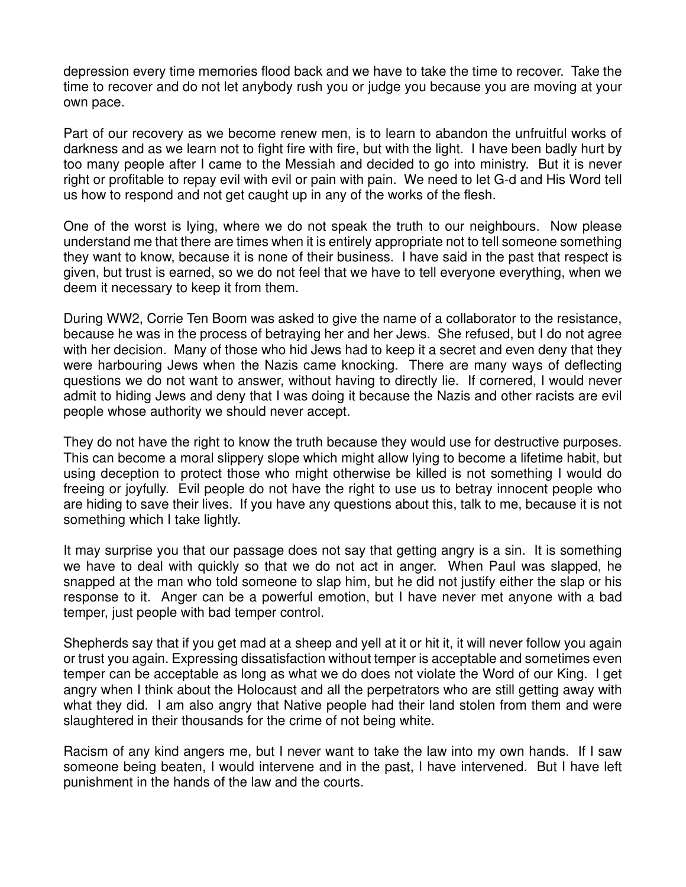depression every time memories flood back and we have to take the time to recover. Take the time to recover and do not let anybody rush you or judge you because you are moving at your own pace.

Part of our recovery as we become renew men, is to learn to abandon the unfruitful works of darkness and as we learn not to fight fire with fire, but with the light. I have been badly hurt by too many people after I came to the Messiah and decided to go into ministry. But it is never right or profitable to repay evil with evil or pain with pain. We need to let G-d and His Word tell us how to respond and not get caught up in any of the works of the flesh.

One of the worst is lying, where we do not speak the truth to our neighbours. Now please understand me that there are times when it is entirely appropriate not to tell someone something they want to know, because it is none of their business. I have said in the past that respect is given, but trust is earned, so we do not feel that we have to tell everyone everything, when we deem it necessary to keep it from them.

During WW2, Corrie Ten Boom was asked to give the name of a collaborator to the resistance, because he was in the process of betraying her and her Jews. She refused, but I do not agree with her decision. Many of those who hid Jews had to keep it a secret and even deny that they were harbouring Jews when the Nazis came knocking. There are many ways of deflecting questions we do not want to answer, without having to directly lie. If cornered, I would never admit to hiding Jews and deny that I was doing it because the Nazis and other racists are evil people whose authority we should never accept.

They do not have the right to know the truth because they would use for destructive purposes. This can become a moral slippery slope which might allow lying to become a lifetime habit, but using deception to protect those who might otherwise be killed is not something I would do freeing or joyfully. Evil people do not have the right to use us to betray innocent people who are hiding to save their lives. If you have any questions about this, talk to me, because it is not something which I take lightly.

It may surprise you that our passage does not say that getting angry is a sin. It is something we have to deal with quickly so that we do not act in anger. When Paul was slapped, he snapped at the man who told someone to slap him, but he did not justify either the slap or his response to it. Anger can be a powerful emotion, but I have never met anyone with a bad temper, just people with bad temper control.

Shepherds say that if you get mad at a sheep and yell at it or hit it, it will never follow you again or trust you again. Expressing dissatisfaction without temper is acceptable and sometimes even temper can be acceptable as long as what we do does not violate the Word of our King. I get angry when I think about the Holocaust and all the perpetrators who are still getting away with what they did. I am also angry that Native people had their land stolen from them and were slaughtered in their thousands for the crime of not being white.

Racism of any kind angers me, but I never want to take the law into my own hands. If I saw someone being beaten, I would intervene and in the past, I have intervened. But I have left punishment in the hands of the law and the courts.